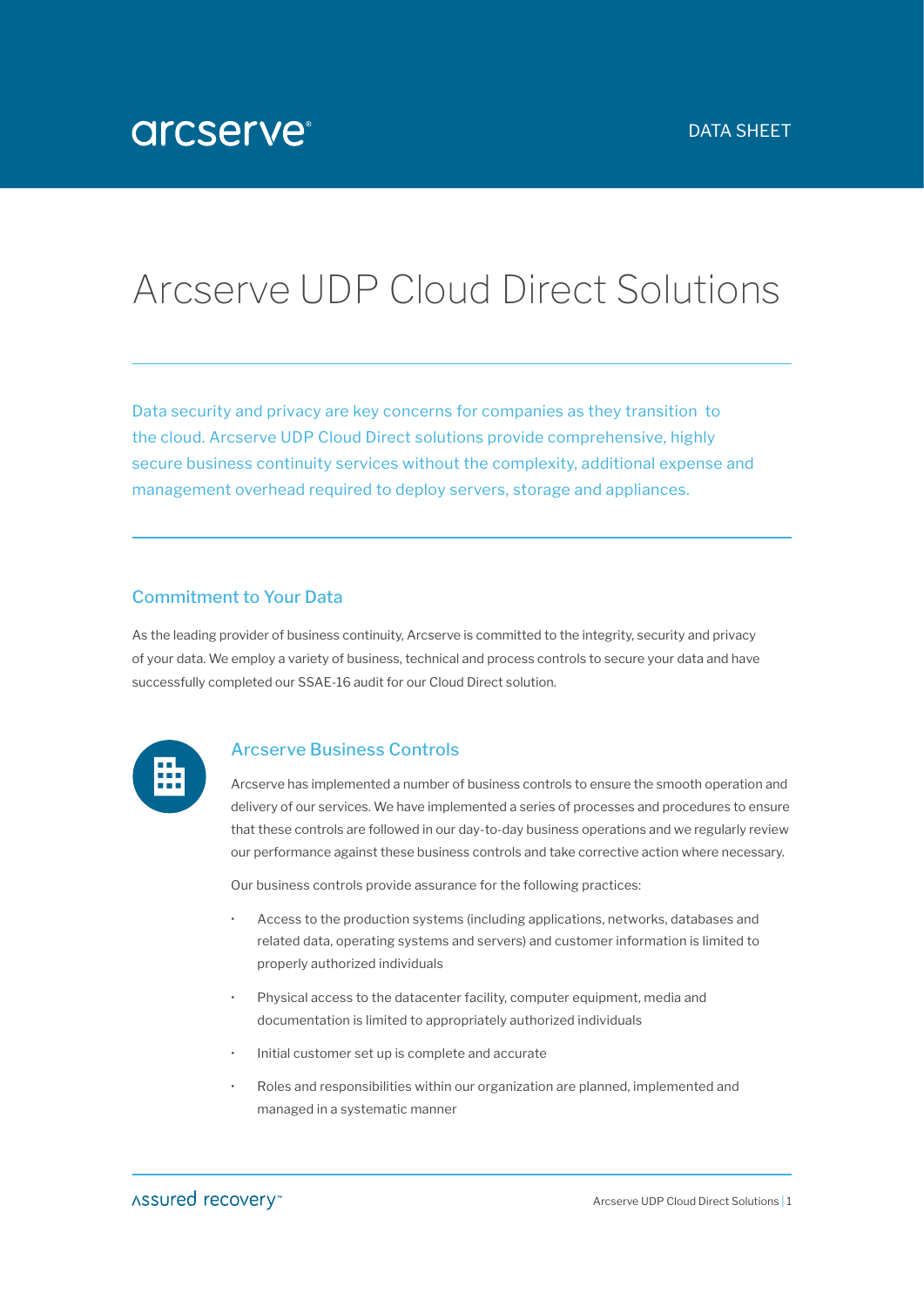# Arcserve UDP Cloud Direct Solutions

Data security and privacy are key concerns for companies as they transition to the cloud. Arcserve UDP Cloud Direct solutions provide comprehensive, highly secure business continuity services without the complexity, additional expense and management overhead required to deploy servers, storage and appliances.

## Commitment to Your Data

As the leading provider of business continuity, Arcserve is committed to the integrity, security and privacy of your data. We employ a variety of business, technical and process controls to secure your data and have successfully completed our SSAE-16 audit for our Cloud Direct solution.



### Arcserve Business Controls

Arcserve has implemented a number of business controls to ensure the smooth operation and delivery of our services. We have implemented a series of processes and procedures to ensure that these controls are followed in our day-to-day business operations and we regularly review our performance against these business controls and take corrective action where necessary.

Our business controls provide assurance for the following practices:

- Access to the production systems (including applications, networks, databases and related data, operating systems and servers) and customer information is limited to properly authorized individuals
- Physical access to the datacenter facility, computer equipment, media and documentation is limited to appropriately authorized individuals
- Initial customer set up is complete and accurate
- Roles and responsibilities within our organization are planned, implemented and managed in a systematic manner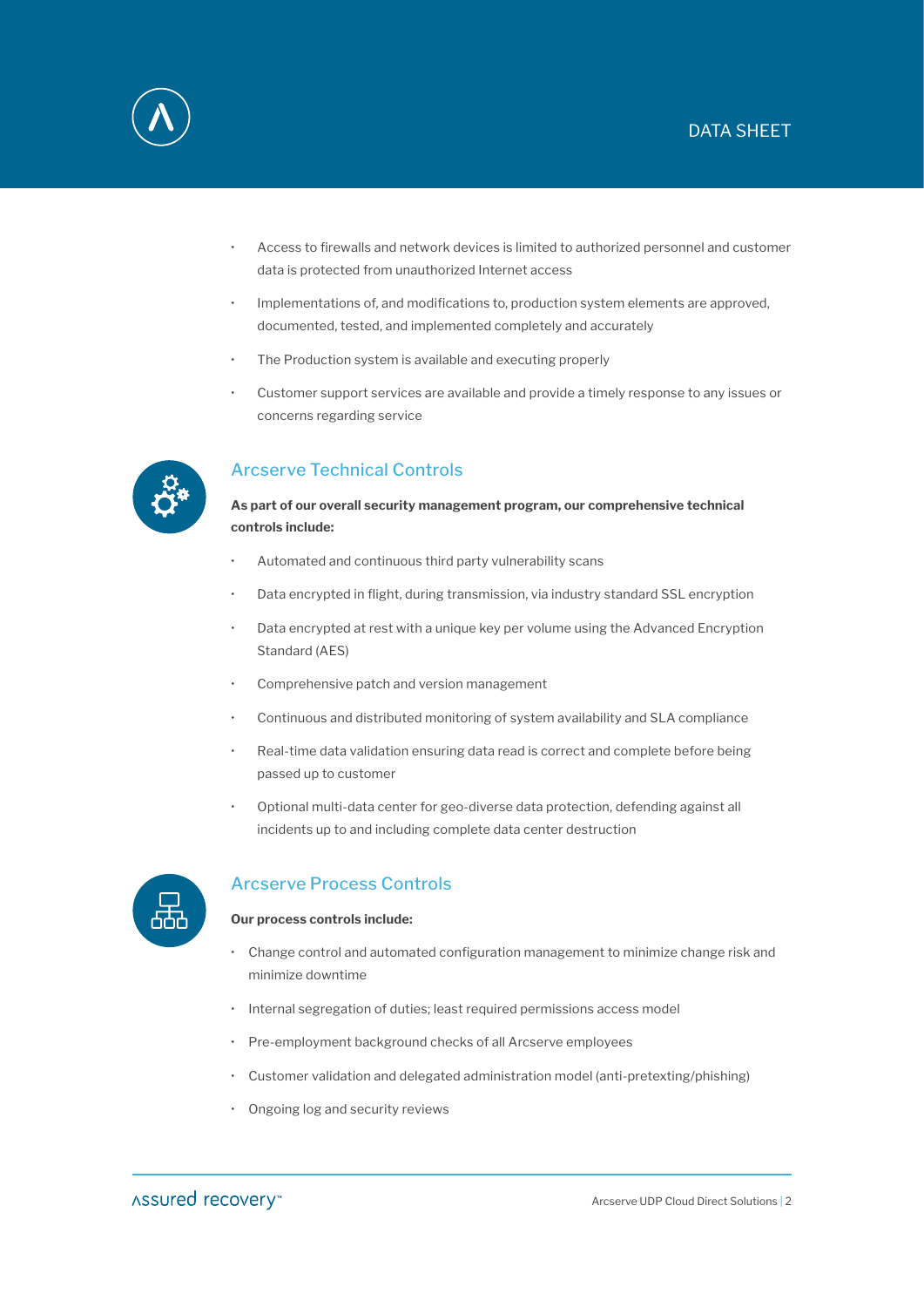# DATA SHEET



- Access to firewalls and network devices is limited to authorized personnel and customer data is protected from unauthorized Internet access
- Implementations of, and modifications to, production system elements are approved, documented, tested, and implemented completely and accurately
- The Production system is available and executing properly
- Customer support services are available and provide a timely response to any issues or concerns regarding service



# Arcserve Technical Controls

**As part of our overall security management program, our comprehensive technical controls include:**

- Automated and continuous third party vulnerability scans
- Data encrypted in flight, during transmission, via industry standard SSL encryption
- Data encrypted at rest with a unique key per volume using the Advanced Encryption Standard (AES)
- Comprehensive patch and version management
- Continuous and distributed monitoring of system availability and SLA compliance
- Real-time data validation ensuring data read is correct and complete before being passed up to customer
- Optional multi-data center for geo-diverse data protection, defending against all incidents up to and including complete data center destruction



## Arcserve Process Controls

#### **Our process controls include:**

- Change control and automated configuration management to minimize change risk and minimize downtime
- Internal segregation of duties; least required permissions access model
- Pre-employment background checks of all Arcserve employees
- Customer validation and delegated administration model (anti-pretexting/phishing)
- Ongoing log and security reviews